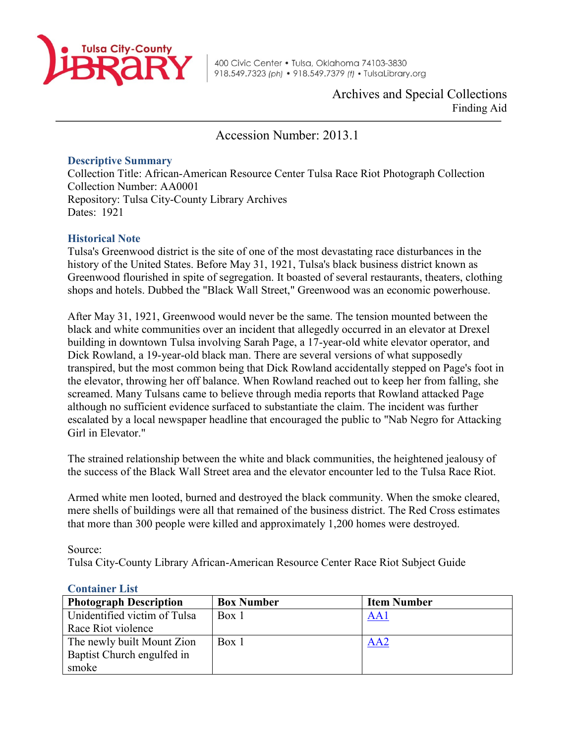

Archives and Special Collections Finding Aid

Accession Number: 2013.1

## **Descriptive Summary**

Collection Title: African-American Resource Center Tulsa Race Riot Photograph Collection Collection Number: AA0001 Repository: Tulsa City-County Library Archives Dates: 1921

## **Historical Note**

Tulsa's Greenwood district is the site of one of the most devastating race disturbances in the history of the United States. Before May 31, 1921, Tulsa's black business district known as Greenwood flourished in spite of segregation. It boasted of several restaurants, theaters, clothing shops and hotels. Dubbed the "Black Wall Street," Greenwood was an economic powerhouse.

After May 31, 1921, Greenwood would never be the same. The tension mounted between the black and white communities over an incident that allegedly occurred in an elevator at Drexel building in downtown Tulsa involving Sarah Page, a 17-year-old white elevator operator, and Dick Rowland, a 19-year-old black man. There are several versions of what supposedly transpired, but the most common being that Dick Rowland accidentally stepped on Page's foot in the elevator, throwing her off balance. When Rowland reached out to keep her from falling, she screamed. Many Tulsans came to believe through media reports that Rowland attacked Page although no sufficient evidence surfaced to substantiate the claim. The incident was further escalated by a local newspaper headline that encouraged the public to "Nab Negro for Attacking Girl in Elevator."

The strained relationship between the white and black communities, the heightened jealousy of the success of the Black Wall Street area and the elevator encounter led to the Tulsa Race Riot.

Armed white men looted, burned and destroyed the black community. When the smoke cleared, mere shells of buildings were all that remained of the business district. The Red Cross estimates that more than 300 people were killed and approximately 1,200 homes were destroyed.

Source:

Tulsa City-County Library African-American Resource Center Race Riot Subject Guide

| <b>Photograph Description</b> | <b>Box Number</b> | <b>Item Number</b> |  |
|-------------------------------|-------------------|--------------------|--|
| Unidentified victim of Tulsa  | Box 1             | AA1                |  |
| Race Riot violence            |                   |                    |  |
| The newly built Mount Zion    | Box 1             | AA2                |  |
| Baptist Church engulfed in    |                   |                    |  |
| smoke                         |                   |                    |  |

## **Container List**